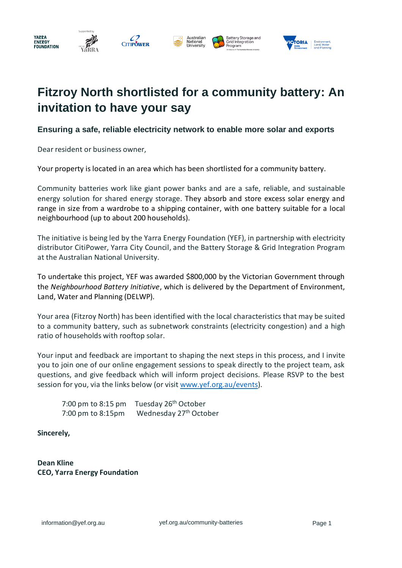



# **Fitzroy North shortlisted for a community battery: An invitation to have your say**

## **Ensuring a safe, reliable electricity network to enable more solar and exports**

Dear resident or business owner,

Your property is located in an area which has been shortlisted for a community battery.

Community batteries work like giant power banks and are a safe, reliable, and sustainable energy solution for shared energy storage. They absorb and store excess solar energy and range in size from a wardrobe to a shipping container, with one battery suitable for a local neighbourhood (up to about 200 households).

The initiative is being led by the Yarra Energy Foundation (YEF), in partnership with electricity distributor CitiPower, Yarra City Council, and the Battery Storage & Grid Integration Program at the Australian National University.

To undertake this project, YEF was awarded \$800,000 by the Victorian Government through the *Neighbourhood Battery Initiative*, which is delivered by the Department of Environment, Land, Water and Planning (DELWP).

Your area (Fitzroy North) has been identified with the local characteristics that may be suited to a community battery, such as subnetwork constraints (electricity congestion) and a high ratio of households with rooftop solar.

Your input and feedback are important to shaping the next steps in this process, and I invite you to join one of our online engagement sessions to speak directly to the project team, ask questions, and give feedback which will inform project decisions. Please RSVP to the best session for you, via the links below (or visi[t www.yef.org.au/events\)](http://www.yef.org.au/events).

7:00 pm to 8:15 pm Tuesday 26<sup>th</sup> October 7:00 pm to 8:15pm Wednesday 27<sup>th</sup> October

**Sincerely,**

**Dean Kline CEO, Yarra Energy Foundation**